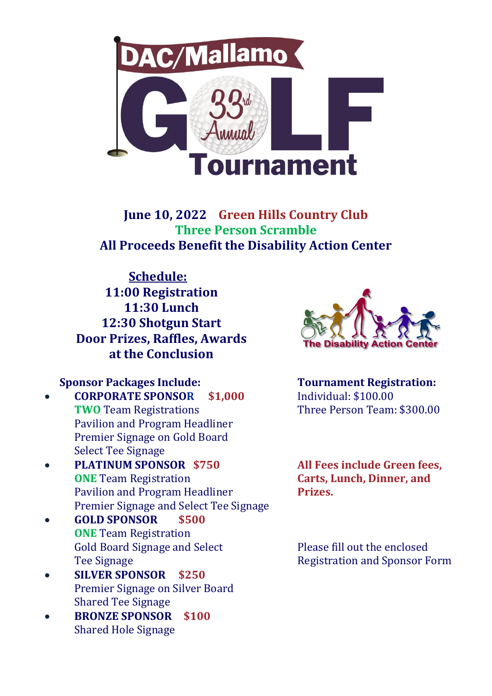

**June 10, 2022 Green Hills Country Club Three Person Scramble All Proceeds Benefit the Disability Action Center**

 **Schedule: 11:00 Registration 11:30 Lunch 12:30 Shotgun Start Door Prizes, Raffles, Awards at the Conclusion**

## **Sponsor Packages Include: Tournament Registration:**

- **CORPORATE SPONSOR \$1,000** Individual: \$100.00 **TWO** Team Registrations Three Person Team: \$300.00 Pavilion and Program Headliner Premier Signage on Gold Board Select Tee Signage
- **PLATINUM SPONSOR \$750 All Fees include Green fees, ONE** Team Registration **Carts, Lunch, Dinner, and** Pavilion and Program Headliner **Prizes.** Premier Signage and Select Tee Signage
- **GOLD SPONSOR \$500 ONE** Team Registration Gold Board Signage and Select Please fill out the enclosed
- **SILVER SPONSOR \$250** Premier Signage on Silver Board Shared Tee Signage
- **BRONZE SPONSOR \$100** Shared Hole Signage



Tee Signage **Registration and Sponsor Form**